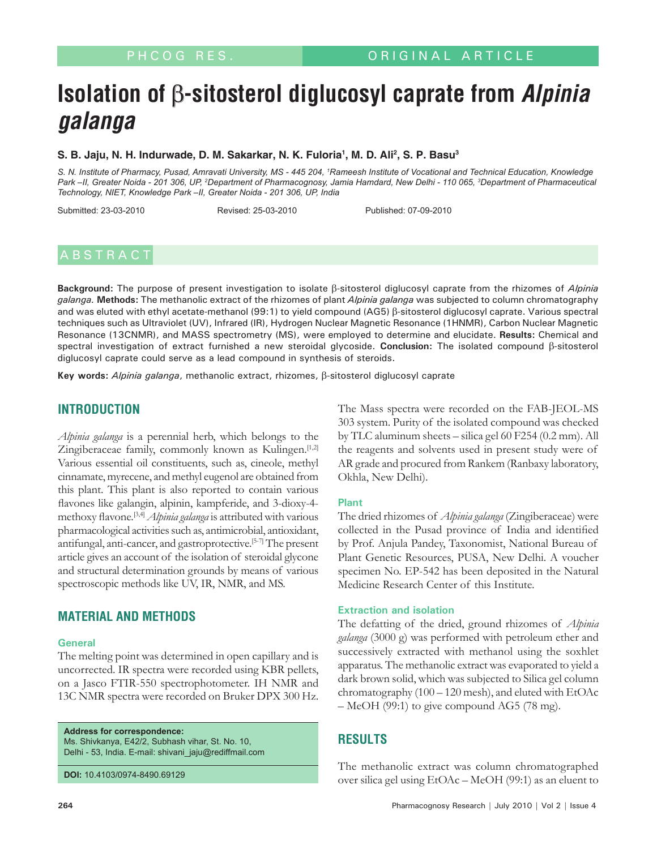# **Isolation of** β**-sitosterol diglucosyl caprate from Alpinia galanga**

#### **S. B. Jaju, N. H. Indurwade, D. M. Sakarkar, N. K. Fuloria1 , M. D. Ali2 , S. P. Basu3**

*S. N. Institute of Pharmacy, Pusad, Amravati University, MS - 445 204, 1 Rameesh Institute of Vocational and Technical Education, Knowledge*  Park –II, Greater Noida - 201 306, UP, <sup>2</sup>Department of Pharmacognosy, Jamia Hamdard, New Delhi - 110 065, <sup>3</sup>Department of Pharmaceutical *Technology, NIET, Knowledge Park –II, Greater Noida - 201 306, UP, India*

Submitted: 23-03-2010 Revised: 25-03-2010 Published: 07-09-2010

## A B S T R A C T

**Background:** The purpose of present investigation to isolate β-sitosterol diglucosyl caprate from the rhizomes of *Alpinia galanga.* **Methods:** The methanolic extract of the rhizomes of plant *Alpinia galanga* was subjected to column chromatography and was eluted with ethyl acetate-methanol (99:1) to yield compound (AG5) β-sitosterol diglucosyl caprate. Various spectral techniques such as Ultraviolet (UV), Infrared (IR), Hydrogen Nuclear Magnetic Resonance (1HNMR), Carbon Nuclear Magnetic Resonance (13CNMR), and MASS spectrometry (MS), were employed to determine and elucidate. **Results:** Chemical and spectral investigation of extract furnished a new steroidal glycoside. **Conclusion:** The isolated compound β-sitosterol diglucosyl caprate could serve as a lead compound in synthesis of steroids.

**Key words:** *Alpinia galanga*, methanolic extract, rhizomes, β-sitosterol diglucosyl caprate

## **INTRODUCTION**

*Alpinia galanga* is a perennial herb, which belongs to the Zingiberaceae family, commonly known as Kulingen.<sup>[1,2]</sup> Various essential oil constituents, such as, cineole, methyl cinnamate, myrecene, and methyl eugenol are obtained from this plant. This plant is also reported to contain various flavones like galangin, alpinin, kampferide, and 3-dioxy-4 methoxy flavone.[3,4] *Alpinia galanga* is attributed with various pharmacological activities such as, antimicrobial, antioxidant, antifungal, anti-cancer, and gastroprotective.[5-7] The present article gives an account of the isolation of steroidal glycone and structural determination grounds by means of various spectroscopic methods like UV, IR, NMR, and MS.

### **MATERIAL AND METHODS**

#### **General**

The melting point was determined in open capillary and is uncorrected. IR spectra were recorded using KBR pellets, on a Jasco FTIR-550 spectrophotometer. IH NMR and 13C NMR spectra were recorded on Bruker DPX 300 Hz.

**Address for correspondence:** Ms. Shivkanya, E42/2, Subhash vihar, St. No. 10,

Delhi - 53, India. E-mail: shivani\_jaju@rediffmail.com

**DOI:** 10.4103/0974-8490.69129

The Mass spectra were recorded on the FAB-JEOL-MS 303 system. Purity of the isolated compound was checked by TLC aluminum sheets – silica gel 60 F254 (0.2 mm). All the reagents and solvents used in present study were of AR grade and procured from Rankem (Ranbaxy laboratory, Okhla, New Delhi).

#### **Plant**

The dried rhizomes of *Alpinia galanga* (Zingiberaceae) were collected in the Pusad province of India and identified by Prof. Anjula Pandey, Taxonomist, National Bureau of Plant Genetic Resources, PUSA, New Delhi. A voucher specimen No. EP-542 has been deposited in the Natural Medicine Research Center of this Institute.

#### **Extraction and isolation**

The defatting of the dried, ground rhizomes of *Alpinia galanga* (3000 g) was performed with petroleum ether and successively extracted with methanol using the soxhlet apparatus. The methanolic extract was evaporated to yield a dark brown solid, which was subjected to Silica gel column chromatography (100 – 120 mesh), and eluted with EtOAc – MeOH (99:1) to give compound AG5 (78 mg).

## **RESULTS**

The methanolic extract was column chromatographed over silica gel using EtOAc – MeOH (99:1) as an eluent to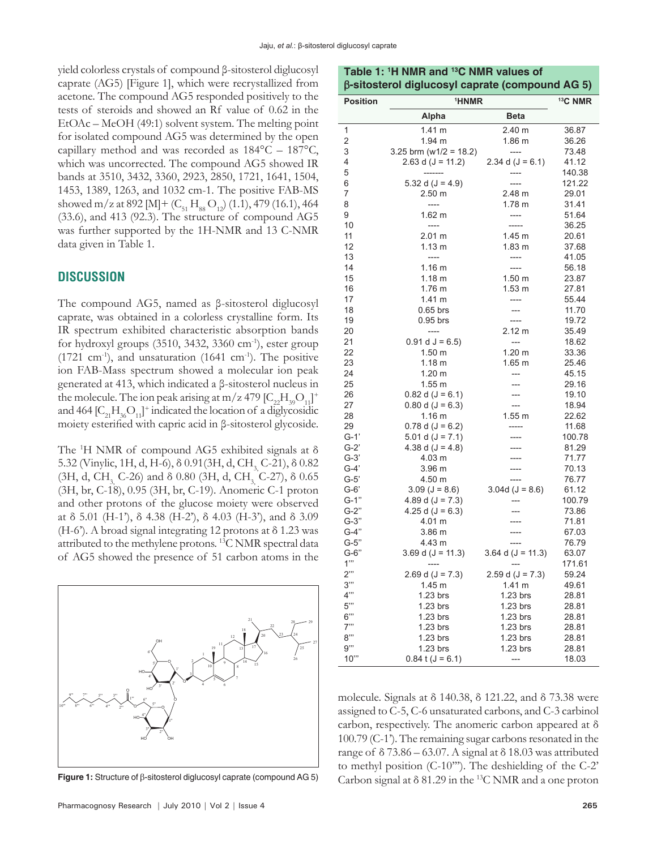yield colorless crystals of compound β-sitosterol diglucosyl caprate (AG5) [Figure 1], which were recrystallized from acetone. The compound AG5 responded positively to the tests of steroids and showed an Rf value of 0.62 in the EtOAc – MeOH (49:1) solvent system. The melting point for isolated compound AG5 was determined by the open capillary method and was recorded as 184°C – 187°C, which was uncorrected. The compound AG5 showed IR bands at 3510, 3432, 3360, 2923, 2850, 1721, 1641, 1504, 1453, 1389, 1263, and 1032 cm-1. The positive FAB-MS showed m/z at 892 [M] +  $(C_{51} H_{88} O_{12})$  (1.1), 479 (16.1), 464 (33.6), and 413 (92.3). The structure of compound AG5 was further supported by the 1H-NMR and 13 C-NMR data given in Table 1.

#### **DISCUSSION**

The compound AG5, named as β-sitosterol diglucosyl caprate, was obtained in a colorless crystalline form. Its IR spectrum exhibited characteristic absorption bands for hydroxyl groups  $(3510, 3432, 3360 \text{ cm}^{-1})$ , ester group  $(1721 \text{ cm}^3)$ , and unsaturation  $(1641 \text{ cm}^3)$ . The positive ion FAB-Mass spectrum showed a molecular ion peak generated at 413, which indicated a β-sitosterol nucleus in the molecule. The ion peak arising at m/z 479  $[C_{22}H_{39}O_{11}]^+$ and 464  $[C_{21}H_{36}O_{11}]^{+}$  indicated the location of a diglycosidic moiety esterified with capric acid in β-sitosterol glycoside.

The 1 H NMR of compound AG5 exhibited signals at δ 5.32 (Vinylic, 1H, d, H-6),  $\delta$  0.91(3H, d, CH<sub>3</sub>, C-21),  $\delta$  0.82 (3H, d, CH<sub>3</sub>, C-26) and δ 0.80 (3H, d, CH<sub>3</sub>, C-27), δ 0.65 (3H, br, C-18), 0.95 (3H, br, C-19). Anomeric C-1 proton and other protons of the glucose moiety were observed at  $\delta$  5.01 (H-1'),  $\delta$  4.38 (H-2'),  $\delta$  4.03 (H-3'), and  $\delta$  3.09 (H-6'). A broad signal integrating 12 protons at δ 1.23 was attributed to the methylene protons. 13C NMR spectral data of AG5 showed the presence of 51 carbon atoms in the



| Table 1: 1H NMR and 13C NMR values of           |  |
|-------------------------------------------------|--|
| β-sitosterol diglucosyl caprate (compound AG 5) |  |

| <b>Position</b> | <sup>1</sup> HNMR                  | <sup>13</sup> C NMR   |                |
|-----------------|------------------------------------|-----------------------|----------------|
|                 | Alpha                              | <b>Beta</b>           |                |
| 1               | 1.41 <sub>m</sub>                  | 2.40 m                | 36.87          |
| $\overline{2}$  | 1.94 m                             | 1.86 m                | 36.26          |
| 3               | 3.25 brm ( $w1/2$ = 18.2)          | ----                  | 73.48          |
| 4               | 2.63 d ( $J = 11.2$ )              | 2.34 d $(J = 6.1)$    | 41.12          |
| 5               | -------                            |                       | 140.38         |
| 6               | 5.32 d $(J = 4.9)$                 |                       | 121.22         |
| 7               | 2.50 m                             | 2.48 m                | 29.01          |
| 8               | ----                               | 1.78 <sub>m</sub>     | 31.41          |
| 9               | 1.62 m                             | ----                  | 51.64          |
| 10              | ----                               | -----                 | 36.25          |
| 11              | 2.01 m                             | 1.45 m                | 20.61          |
| 12<br>13        | 1.13 m<br>$\overline{\phantom{a}}$ | 1.83 <sub>m</sub>     | 37.68          |
| 14              | 1.16 <sub>m</sub>                  | ----<br>----          | 41.05<br>56.18 |
| 15              | 1.18 m                             | 1.50 <sub>m</sub>     | 23.87          |
| 16              | 1.76 m                             | 1.53 m                | 27.81          |
| 17              | 1.41 m                             | ----                  | 55.44          |
| 18              | $0.65$ brs                         | ---                   | 11.70          |
| 19              | $0.95$ brs                         | ----                  | 19.72          |
| 20              | $---$                              | 2.12 m                | 35.49          |
| 21              | $0.91 d$ J = 6.5)                  | $\overline{a}$        | 18.62          |
| 22              | 1.50 <sub>m</sub>                  | $1.20 \text{ m}$      | 33.36          |
| 23              | 1.18 m                             | 1.65 <sub>m</sub>     | 25.46          |
| 24              | $1.20 \text{ m}$                   | ---                   | 45.15          |
| 25              | $1.55$ m                           | ---                   | 29.16          |
| 26              | $0.82$ d (J = 6.1)                 | ---                   | 19.10          |
| 27              | $0.80 d (J = 6.3)$                 | $\overline{a}$        | 18.94          |
| 28              | 1.16 m                             | 1.55 m                | 22.62          |
| 29              | $0.78 d (J = 6.2)$                 | -----                 | 11.68          |
| $G-1'$          | 5.01 d $(J = 7.1)$                 |                       | 100.78         |
| $G-2'$          | 4.38 d ( $J = 4.8$ )               |                       | 81.29          |
| $G-3'$          | 4.03 m                             | ----                  | 71.77          |
| $G-4'$          | 3.96 m                             | ----                  | 70.13          |
| $G-5'$          | 4.50 m                             |                       | 76.77          |
| G-6'            | $3.09$ (J = 8.6)                   | 3.04d $(J = 8.6)$     | 61.12          |
| $G-1"$          | 4.89 d $(J = 7.3)$                 |                       | 100.79         |
| G-2"            | 4.25 d ( $J = 6.3$ )               |                       | 73.86          |
| $G-3"$          | 4.01 m                             |                       | 71.81          |
| G-4"            | 3.86 m                             |                       | 67.03          |
| $G-5"$          | 4.43 m                             |                       | 76.79          |
| $G-6"$          | 3.69 d ( $J = 11.3$ )              | 3.64 d ( $J = 11.3$ ) | 63.07          |
| 1"              |                                    |                       | 171.61         |
| 2"              | 2.69 d ( $J = 7.3$ )               | 2.59 d $(J = 7.3)$    | 59.24          |
| 3"<br>4"        | 1.45 m                             | 1.41 m                | 49.61          |
| 5"              | 1.23 brs<br>1.23 brs               | 1.23 brs              | 28.81          |
| 6"              | 1.23 brs                           | 1.23 brs<br>1.23 brs  | 28.81<br>28.81 |
| 7"              | 1.23 brs                           | 1.23 brs              | 28.81          |
| 8"              | 1.23 brs                           | 1.23 brs              | 28.81          |
| g'''            | 1.23 brs                           | $1.23$ brs            | 28.81          |
| 10"             | $0.84$ t (J = 6.1)                 | $\overline{a}$        | 18.03          |

molecule. Signals at δ 140.38, δ 121.22, and δ 73.38 were assigned to C-5, C-6 unsaturated carbons, and C-3 carbinol carbon, respectively. The anomeric carbon appeared at δ 100.79 (C-1'). The remaining sugar carbons resonated in the range of  $\delta$  73.86 – 63.07. A signal at  $\delta$  18.03 was attributed to methyl position (C-10'''). The deshielding of the C-2' Figure 1: Structure of β-sitosterol diglucosyl caprate (compound AG 5) Carbon signal at δ 81.29 in the <sup>13</sup>C NMR and a one proton